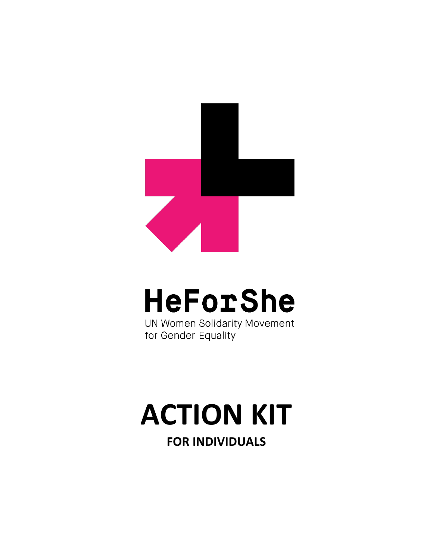

## **HeForShe**

UN Women Solidarity Movement for Gender Equality

# **ACTION KIT**

**FOR INDIVIDUALS**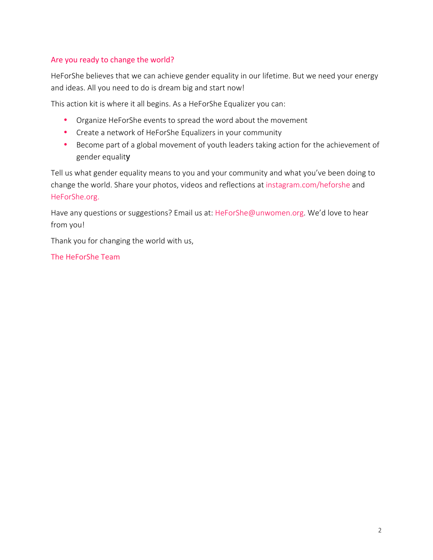#### Are you ready to change the world?

HeForShe believes that we can achieve gender equality in our lifetime. But we need your energy and ideas. All you need to do is dream big and start now!

This action kit is where it all begins. As a HeForShe Equalizer you can:

- Organize HeForShe events to spread the word about the movement
- Create a network of HeForShe Equalizers in your community
- Become part of a global movement of youth leaders taking action for the achievement of gender equality

Tell us what gender equality means to you and your community and what you've been doing to change the world. Share your photos, videos and reflections at [instagram.com/heforshe](http://www.instagram.com/heforshe) and [HeForShe.org.](http://www.heforshe.org)

Have any questions or suggestions? Email us at: HeForShe@unwomen.org. We'd love to hear from you!

Thank you for changing the world with us,

The HeForShe Team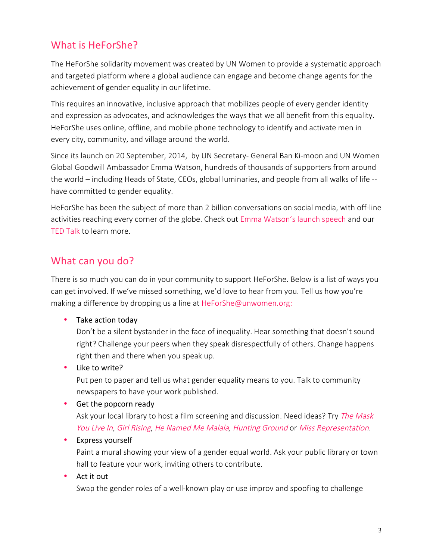#### What is HeForShe?

The HeForShe solidarity movement was created by UN Women to provide a systematic approach and targeted platform where a global audience can engage and become change agents for the achievement of gender equality in our lifetime.

This requires an innovative, inclusive approach that mobilizes people of every gender identity and expression as advocates, and acknowledges the ways that we all benefit from this equality. HeForShe uses online, offline, and mobile phone technology to identify and activate men in every city, community, and village around the world.

Since its launch on 20 September, 2014, by UN Secretary- General Ban Ki-moon and UN Women Global Goodwill Ambassador Emma Watson, hundreds of thousands of supporters from around the world – including Heads of State, CEOs, global luminaries, and people from all walks of life - have committed to gender equality.

HeForShe has been the subject of more than 2 billion conversations on social media, with off-line activities reaching every corner of the globe. Check out [Emma Watson's launch speech](https://www.youtube.com/watch?v=Q0Dg226G2Z8) and our [TED Talk](https://www.ted.com/talks/elizabeth_nyamayaro_an_invitation_to_men_who_want_a_better_world_for_women?language=en) to learn more.

#### What can you do?

There is so much you can do in your community to support HeForShe. Below is a list of ways you can get involved. If we've missed something, we'd love to hear from you. Tell us how you're making a difference by dropping us a line at HeForShe@unwomen.org:

• Take action today

Don't be a silent bystander in the face of inequality. Hear something that doesn't sound right? Challenge your peers when they speak disrespectfully of others. Change happens right then and there when you speak up.

• Like to write?

Put pen to paper and tell us what gender equality means to you. Talk to community newspapers to have your work published.

• Get the popcorn ready

Ask your local library to host a film screening and discussion. Need ideas? Try The Mask [You Live In,](http://therepresentationproject.org/film/the-mask-you-live-in/) [Girl Rising](http://girlrising.com/), [He Named Me Malala,](http://www.henamedmemalalamovie.com/) [Hunting Ground](http://www.thehuntinggroundfilm.com/) or [Miss Representation](http://therepresentationproject.org/film/miss-representation/).

• Express yourself

Paint a mural showing your view of a gender equal world. Ask your public library or town hall to feature your work, inviting others to contribute.

 $\bullet$  Act it out

Swap the gender roles of a well-known play or use improv and spoofing to challenge